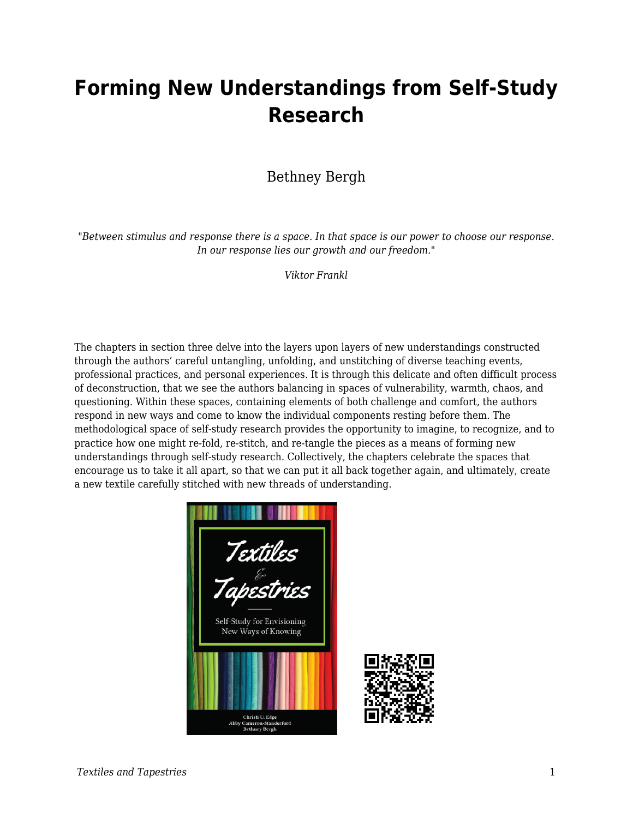## **Forming New Understandings from Self-Study Research**

## Bethney Bergh

"*Between stimulus and response there is a space. In that space is our power to choose our response. In our response lies our growth and our freedom."*

*Viktor Frankl*

The chapters in section three delve into the layers upon layers of new understandings constructed through the authors' careful untangling, unfolding, and unstitching of diverse teaching events, professional practices, and personal experiences. It is through this delicate and often difficult process of deconstruction, that we see the authors balancing in spaces of vulnerability, warmth, chaos, and questioning. Within these spaces, containing elements of both challenge and comfort, the authors respond in new ways and come to know the individual components resting before them. The methodological space of self-study research provides the opportunity to imagine, to recognize, and to practice how one might re-fold, re-stitch, and re-tangle the pieces as a means of forming new understandings through self-study research. Collectively, the chapters celebrate the spaces that encourage us to take it all apart, so that we can put it all back together again, and ultimately, create a new textile carefully stitched with new threads of understanding.

Textiles Self-Study for Envisioning New Ways of Knowing